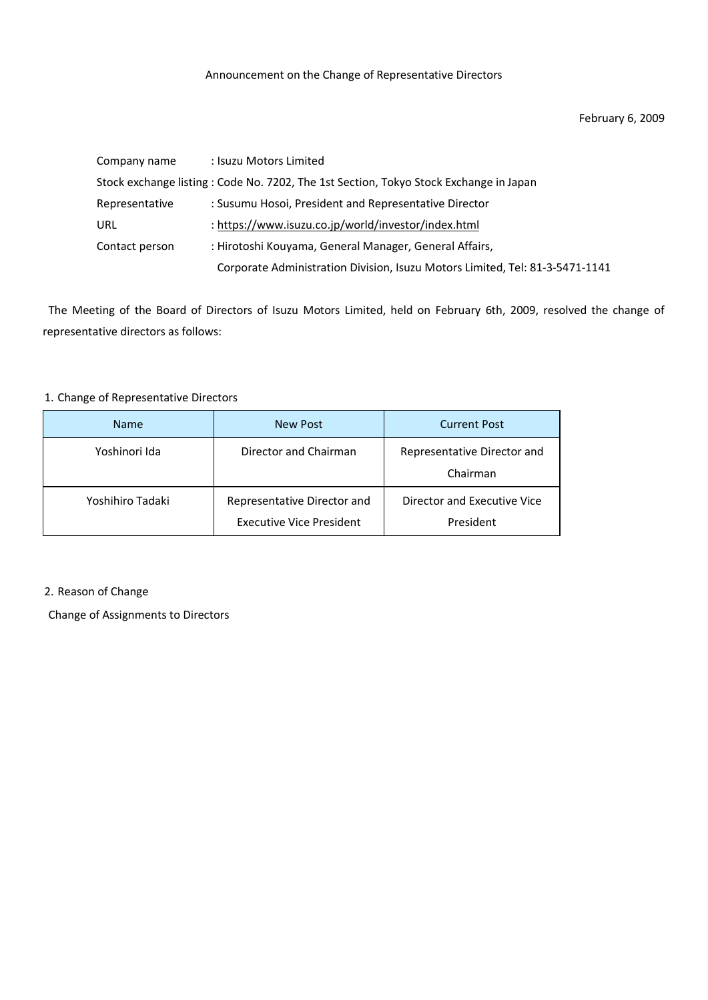## February 6, 2009

| Company name   | : Isuzu Motors Limited                                                                |
|----------------|---------------------------------------------------------------------------------------|
|                | Stock exchange listing: Code No. 7202, The 1st Section, Tokyo Stock Exchange in Japan |
| Representative | : Susumu Hosoi, President and Representative Director                                 |
| URL            | : https://www.isuzu.co.jp/world/investor/index.html                                   |
| Contact person | : Hirotoshi Kouyama, General Manager, General Affairs,                                |
|                | Corporate Administration Division, Isuzu Motors Limited, Tel: 81-3-5471-1141          |

The Meeting of the Board of Directors of Isuzu Motors Limited, held on February 6th, 2009, resolved the change of representative directors as follows:

## 1. Change of Representative Directors

| <b>Name</b>      | <b>New Post</b>                                                | <b>Current Post</b>                      |
|------------------|----------------------------------------------------------------|------------------------------------------|
| Yoshinori Ida    | Director and Chairman                                          | Representative Director and<br>Chairman  |
| Yoshihiro Tadaki | Representative Director and<br><b>Executive Vice President</b> | Director and Executive Vice<br>President |

## 2. Reason of Change

Change of Assignments to Directors